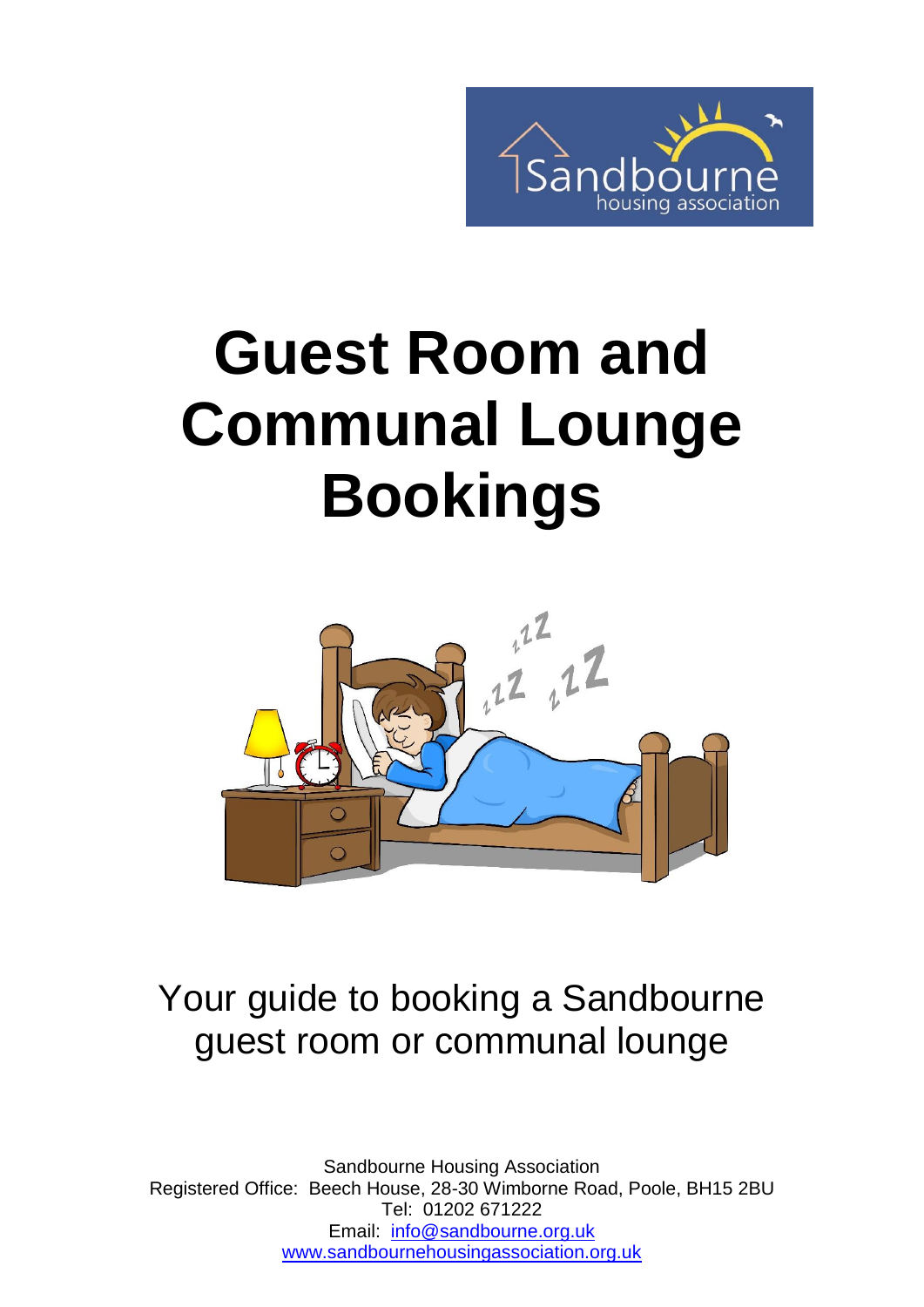

# **Guest Room and Communal Lounge Bookings**



### Your guide to booking a Sandbourne guest room or communal lounge

Sandbourne Housing Association Registered Office: Beech House, 28-30 Wimborne Road, Poole, BH15 2BU Tel: 01202 671222 Email: [info@sandbourne.org.uk](mailto:info@sandbourne.org.uk) [www.sandbournehousingassociation.org.uk](http://www.sandbournehousingassociation.org.uk/)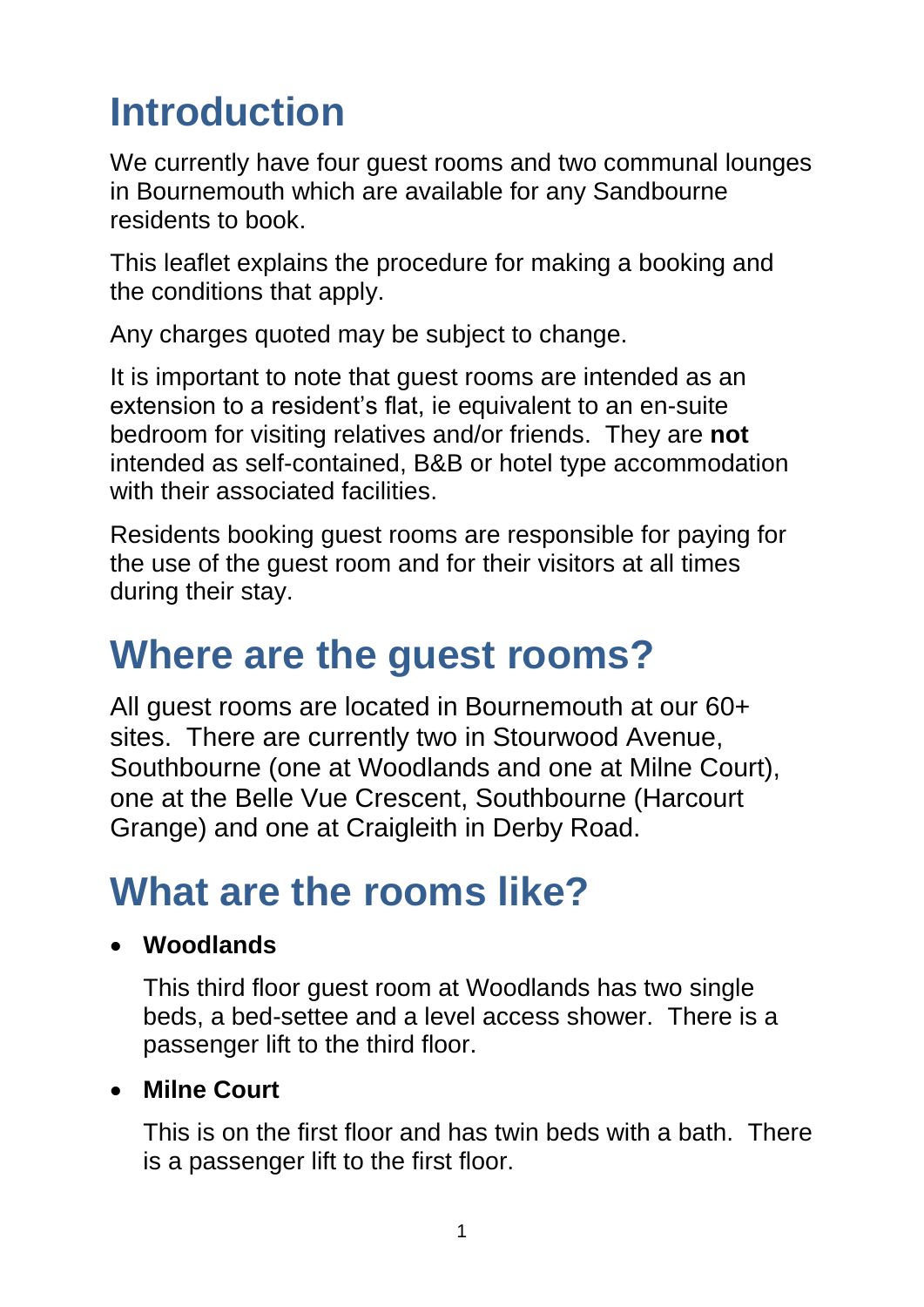# **Introduction**

We currently have four quest rooms and two communal lounges in Bournemouth which are available for any Sandbourne residents to book.

This leaflet explains the procedure for making a booking and the conditions that apply.

Any charges quoted may be subject to change.

It is important to note that guest rooms are intended as an extension to a resident's flat, ie equivalent to an en-suite bedroom for visiting relatives and/or friends. They are **not** intended as self-contained, B&B or hotel type accommodation with their associated facilities.

Residents booking guest rooms are responsible for paying for the use of the guest room and for their visitors at all times during their stay.

### **Where are the guest rooms?**

All guest rooms are located in Bournemouth at our 60+ sites. There are currently two in Stourwood Avenue, Southbourne (one at Woodlands and one at Milne Court), one at the Belle Vue Crescent, Southbourne (Harcourt Grange) and one at Craigleith in Derby Road.

### **What are the rooms like?**

#### **Woodlands**

This third floor guest room at Woodlands has two single beds, a bed-settee and a level access shower. There is a passenger lift to the third floor.

#### **Milne Court**

This is on the first floor and has twin beds with a bath. There is a passenger lift to the first floor.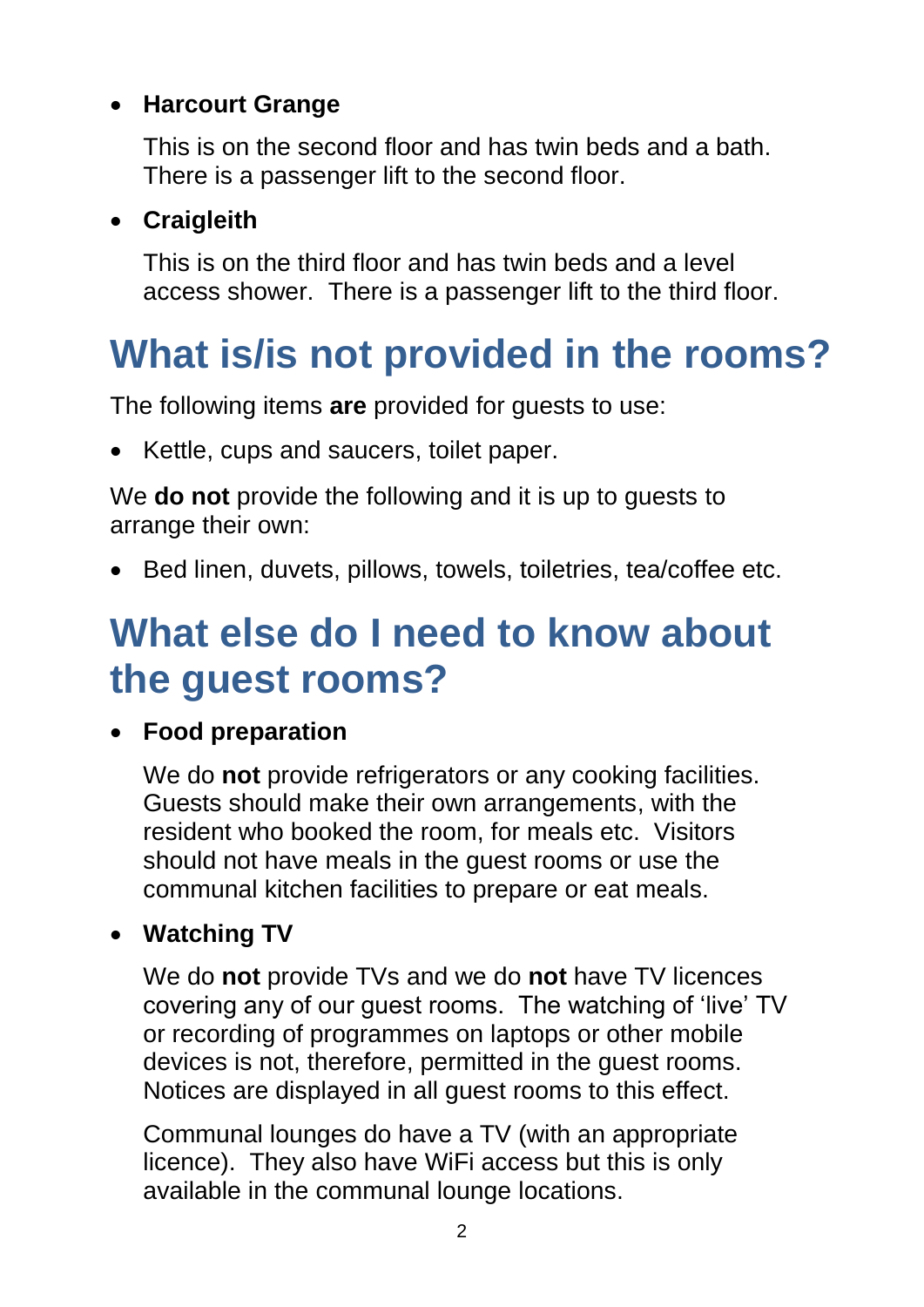#### **Harcourt Grange**

This is on the second floor and has twin beds and a bath. There is a passenger lift to the second floor.

#### **Craigleith**

This is on the third floor and has twin beds and a level access shower. There is a passenger lift to the third floor.

# **What is/is not provided in the rooms?**

The following items **are** provided for guests to use:

• Kettle, cups and saucers, toilet paper.

We **do not** provide the following and it is up to guests to arrange their own:

• Bed linen, duvets, pillows, towels, toiletries, tea/coffee etc.

### **What else do I need to know about the guest rooms?**

#### **Food preparation**

We do **not** provide refrigerators or any cooking facilities. Guests should make their own arrangements, with the resident who booked the room, for meals etc. Visitors should not have meals in the guest rooms or use the communal kitchen facilities to prepare or eat meals.

#### **Watching TV**

We do **not** provide TVs and we do **not** have TV licences covering any of our guest rooms. The watching of 'live' TV or recording of programmes on laptops or other mobile devices is not, therefore, permitted in the guest rooms. Notices are displayed in all guest rooms to this effect.

Communal lounges do have a TV (with an appropriate licence). They also have WiFi access but this is only available in the communal lounge locations.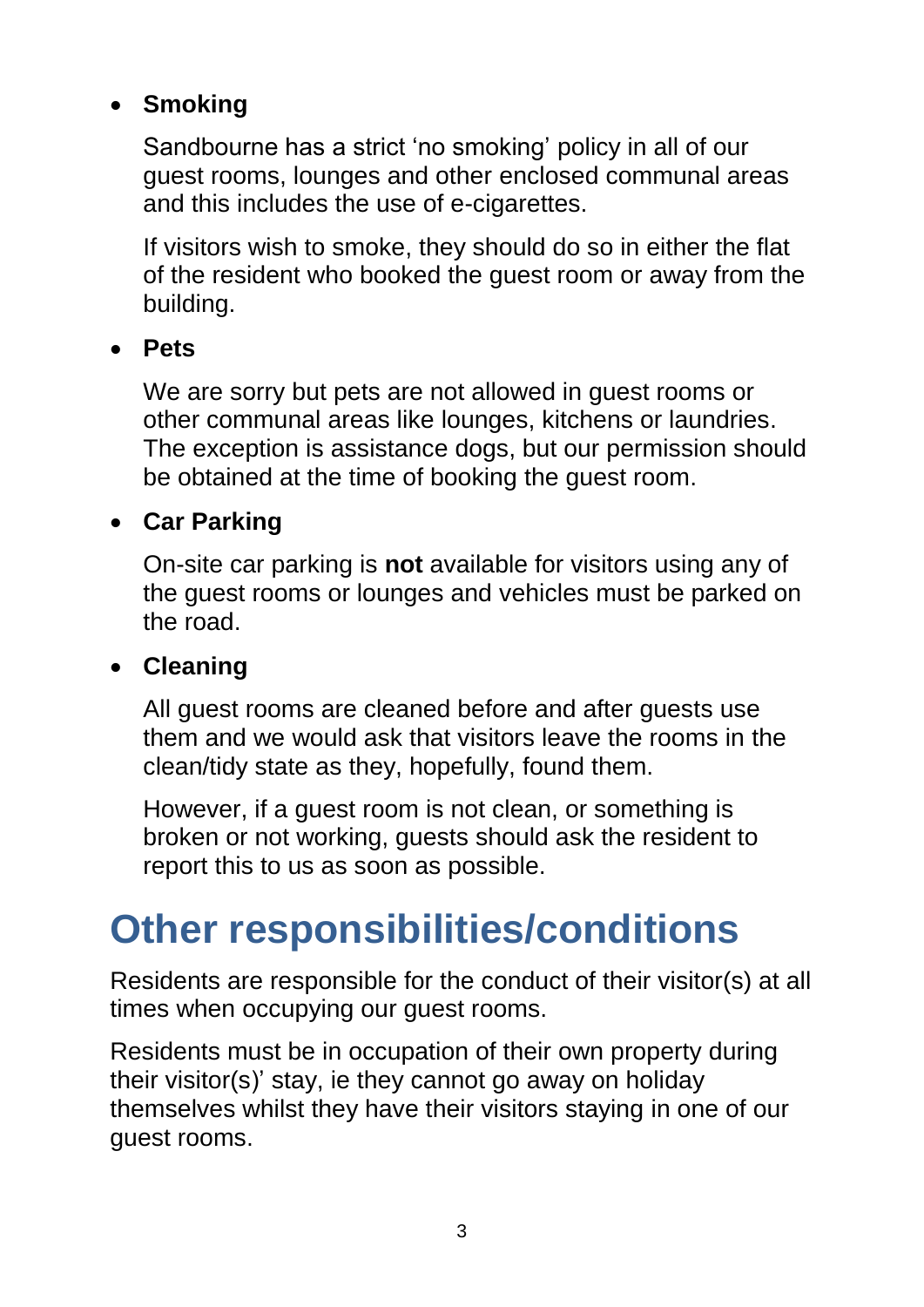#### **Smoking**

Sandbourne has a strict 'no smoking' policy in all of our guest rooms, lounges and other enclosed communal areas and this includes the use of e-cigarettes.

If visitors wish to smoke, they should do so in either the flat of the resident who booked the guest room or away from the building.

#### **Pets**

We are sorry but pets are not allowed in guest rooms or other communal areas like lounges, kitchens or laundries. The exception is assistance dogs, but our permission should be obtained at the time of booking the guest room.

#### **Car Parking**

On-site car parking is **not** available for visitors using any of the guest rooms or lounges and vehicles must be parked on the road.

#### **Cleaning**

All guest rooms are cleaned before and after guests use them and we would ask that visitors leave the rooms in the clean/tidy state as they, hopefully, found them.

However, if a guest room is not clean, or something is broken or not working, guests should ask the resident to report this to us as soon as possible.

### **Other responsibilities/conditions**

Residents are responsible for the conduct of their visitor(s) at all times when occupying our guest rooms.

Residents must be in occupation of their own property during their visitor(s)' stay, ie they cannot go away on holiday themselves whilst they have their visitors staying in one of our guest rooms.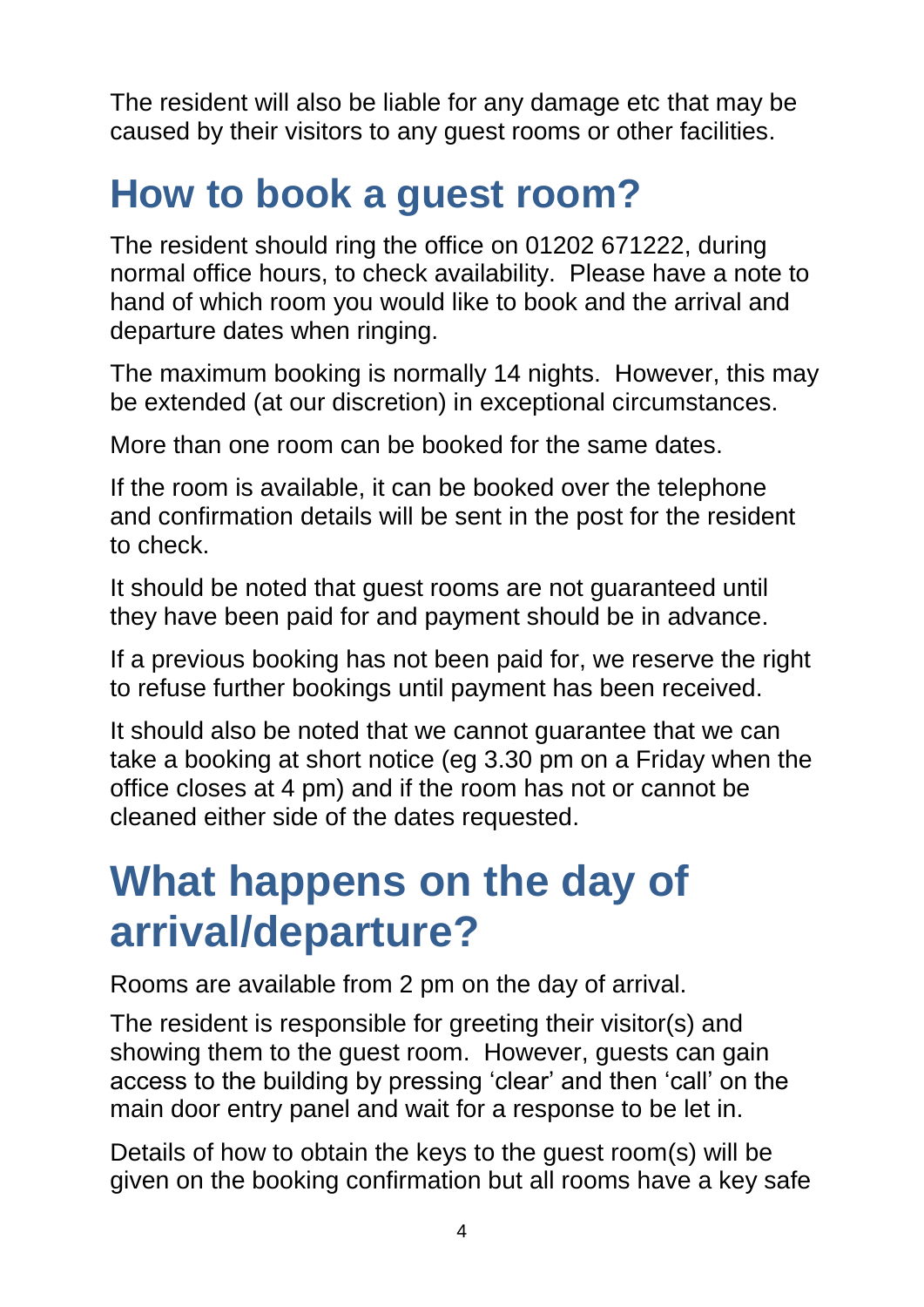The resident will also be liable for any damage etc that may be caused by their visitors to any guest rooms or other facilities.

### **How to book a guest room?**

The resident should ring the office on 01202 671222, during normal office hours, to check availability. Please have a note to hand of which room you would like to book and the arrival and departure dates when ringing.

The maximum booking is normally 14 nights. However, this may be extended (at our discretion) in exceptional circumstances.

More than one room can be booked for the same dates.

If the room is available, it can be booked over the telephone and confirmation details will be sent in the post for the resident to check.

It should be noted that guest rooms are not guaranteed until they have been paid for and payment should be in advance.

If a previous booking has not been paid for, we reserve the right to refuse further bookings until payment has been received.

It should also be noted that we cannot guarantee that we can take a booking at short notice (eg 3.30 pm on a Friday when the office closes at 4 pm) and if the room has not or cannot be cleaned either side of the dates requested.

# **What happens on the day of arrival/departure?**

Rooms are available from 2 pm on the day of arrival.

The resident is responsible for greeting their visitor(s) and showing them to the guest room. However, guests can gain access to the building by pressing 'clear' and then 'call' on the main door entry panel and wait for a response to be let in.

Details of how to obtain the keys to the guest room(s) will be given on the booking confirmation but all rooms have a key safe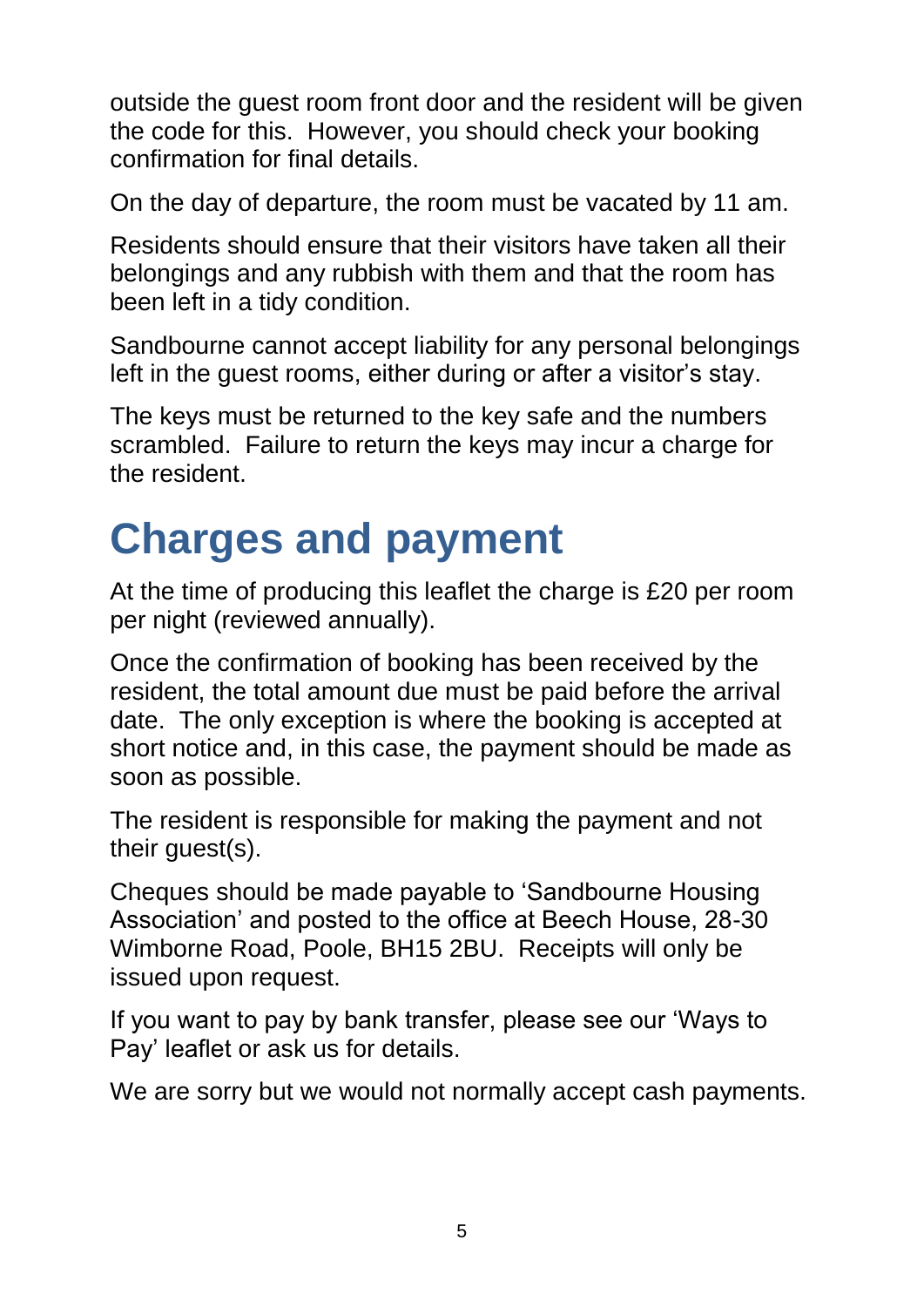outside the guest room front door and the resident will be given the code for this. However, you should check your booking confirmation for final details.

On the day of departure, the room must be vacated by 11 am.

Residents should ensure that their visitors have taken all their belongings and any rubbish with them and that the room has been left in a tidy condition.

Sandbourne cannot accept liability for any personal belongings left in the guest rooms, either during or after a visitor's stay.

The keys must be returned to the key safe and the numbers scrambled. Failure to return the keys may incur a charge for the resident.

# **Charges and payment**

At the time of producing this leaflet the charge is £20 per room per night (reviewed annually).

Once the confirmation of booking has been received by the resident, the total amount due must be paid before the arrival date. The only exception is where the booking is accepted at short notice and, in this case, the payment should be made as soon as possible.

The resident is responsible for making the payment and not their guest(s).

Cheques should be made payable to 'Sandbourne Housing Association' and posted to the office at Beech House, 28-30 Wimborne Road, Poole, BH15 2BU. Receipts will only be issued upon request.

If you want to pay by bank transfer, please see our 'Ways to Pay' leaflet or ask us for details.

We are sorry but we would not normally accept cash payments.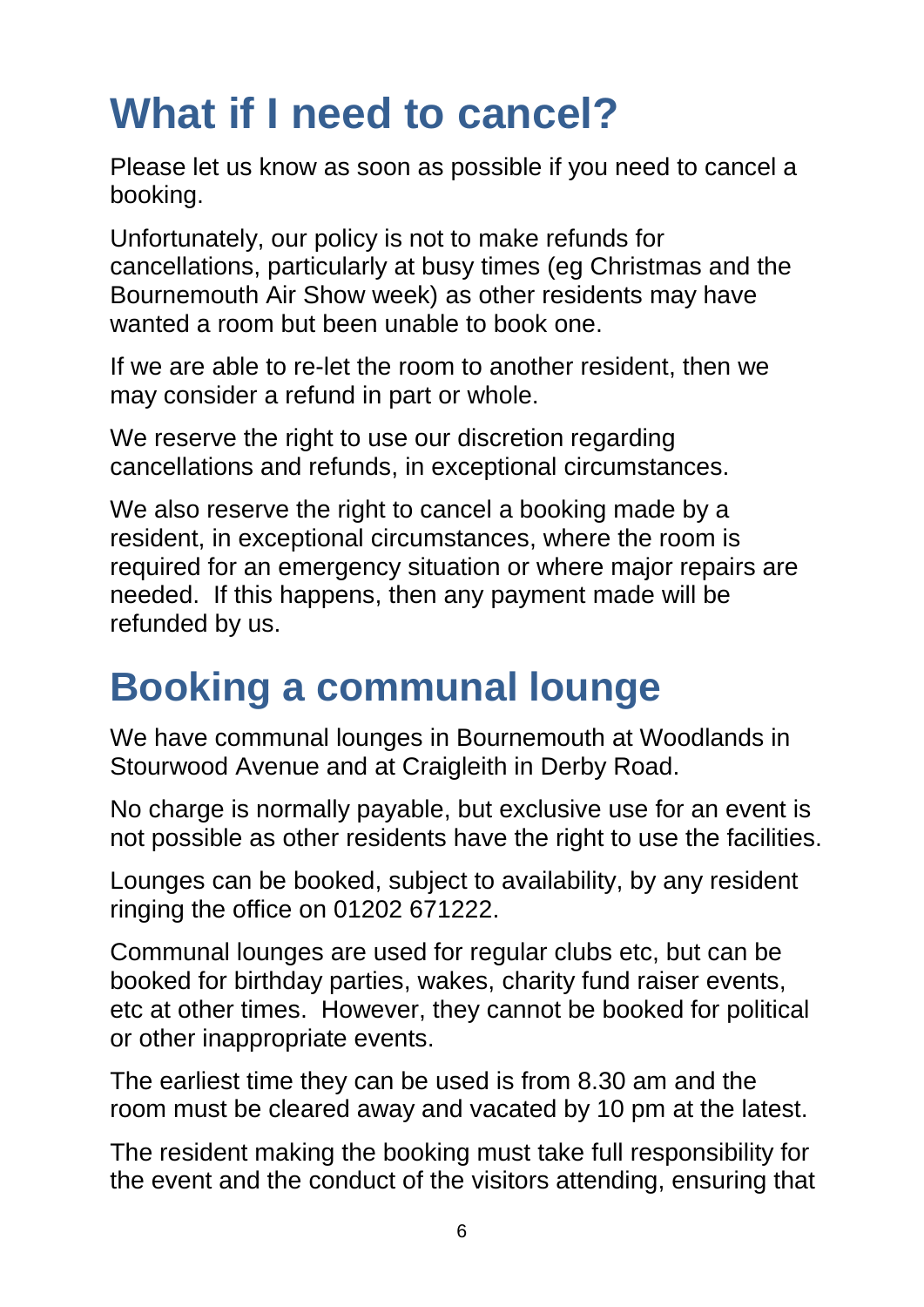# **What if I need to cancel?**

Please let us know as soon as possible if you need to cancel a booking.

Unfortunately, our policy is not to make refunds for cancellations, particularly at busy times (eg Christmas and the Bournemouth Air Show week) as other residents may have wanted a room but been unable to book one.

If we are able to re-let the room to another resident, then we may consider a refund in part or whole.

We reserve the right to use our discretion regarding cancellations and refunds, in exceptional circumstances.

We also reserve the right to cancel a booking made by a resident, in exceptional circumstances, where the room is required for an emergency situation or where major repairs are needed. If this happens, then any payment made will be refunded by us.

### **Booking a communal lounge**

We have communal lounges in Bournemouth at Woodlands in Stourwood Avenue and at Craigleith in Derby Road.

No charge is normally payable, but exclusive use for an event is not possible as other residents have the right to use the facilities.

Lounges can be booked, subject to availability, by any resident ringing the office on 01202 671222.

Communal lounges are used for regular clubs etc, but can be booked for birthday parties, wakes, charity fund raiser events, etc at other times. However, they cannot be booked for political or other inappropriate events.

The earliest time they can be used is from 8.30 am and the room must be cleared away and vacated by 10 pm at the latest.

The resident making the booking must take full responsibility for the event and the conduct of the visitors attending, ensuring that